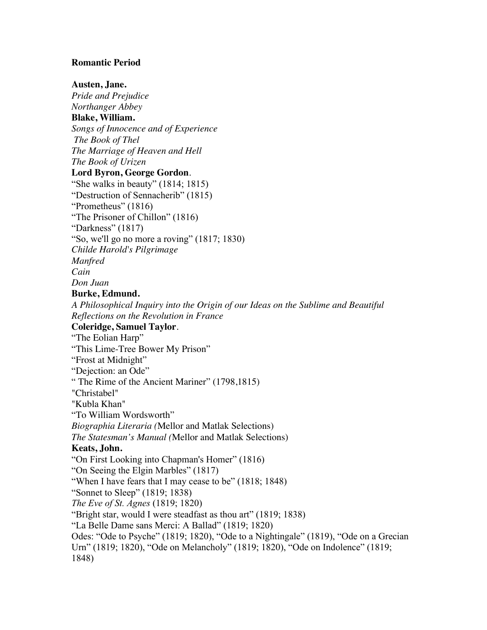## **Romantic Period**

## **Austen, Jane.**

*Pride and Prejudice Northanger Abbey*  **Blake, William.** *Songs of Innocence and of Experience The Book of Thel The Marriage of Heaven and Hell The Book of Urizen* **Lord Byron, George Gordon**. "She walks in beauty" (1814; 1815) "Destruction of Sennacherib" (1815) "Prometheus" (1816) "The Prisoner of Chillon" (1816) "Darkness" (1817) "So, we'll go no more a roving" (1817; 1830) *Childe Harold's Pilgrimage Manfred Cain Don Juan*  **Burke, Edmund.** *A Philosophical Inquiry into the Origin of our Ideas on the Sublime and Beautiful Reflections on the Revolution in France*  **Coleridge, Samuel Taylor**. "The Eolian Harp" "This Lime-Tree Bower My Prison" "Frost at Midnight" "Dejection: an Ode" " The Rime of the Ancient Mariner" (1798,1815) "Christabel" "Kubla Khan" "To William Wordsworth" *Biographia Literaria (*Mellor and Matlak Selections) *The Statesman's Manual (*Mellor and Matlak Selections) **Keats, John.** "On First Looking into Chapman's Homer" (1816) "On Seeing the Elgin Marbles" (1817) "When I have fears that I may cease to be" (1818; 1848) "Sonnet to Sleep" (1819; 1838) *The Eve of St. Agnes* (1819; 1820) "Bright star, would I were steadfast as thou art" (1819; 1838) "La Belle Dame sans Merci: A Ballad" (1819; 1820) Odes: "Ode to Psyche" (1819; 1820), "Ode to a Nightingale" (1819), "Ode on a Grecian Urn" (1819; 1820), "Ode on Melancholy" (1819; 1820), "Ode on Indolence" (1819; 1848)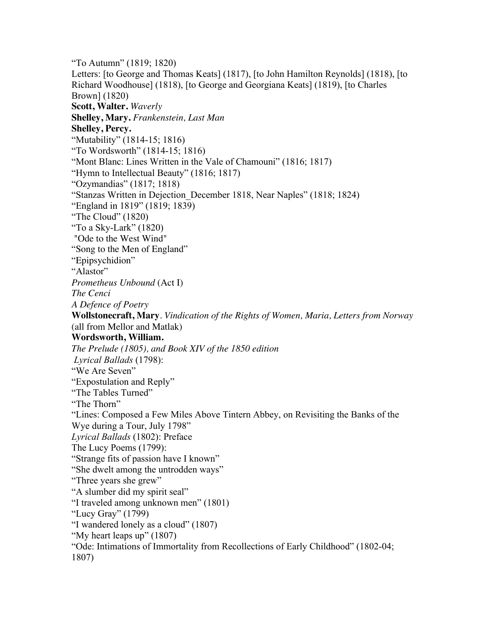"To Autumn" (1819; 1820) Letters: [to George and Thomas Keats] (1817), [to John Hamilton Reynolds] (1818), [to Richard Woodhouse] (1818), [to George and Georgiana Keats] (1819), [to Charles Brown] (1820) **Scott, Walter.** *Waverly* **Shelley, Mary.** *Frankenstein, Last Man* **Shelley, Percy.** "Mutability" (1814-15; 1816) "To Wordsworth" (1814-15; 1816) "Mont Blanc: Lines Written in the Vale of Chamouni" (1816; 1817) "Hymn to Intellectual Beauty" (1816; 1817) "Ozymandias" (1817; 1818) "Stanzas Written in Dejection\_December 1818, Near Naples" (1818; 1824) "England in 1819" (1819; 1839) "The Cloud" (1820) "To a Sky-Lark" (1820) "Ode to the West Wind" "Song to the Men of England" "Epipsychidion" "Alastor" *Prometheus Unbound* (Act I) *The Cenci A Defence of Poetry*  **Wollstonecraft, Mary**. *Vindication of the Rights of Women, Maria, Letters from Norway*  (all from Mellor and Matlak) **Wordsworth, William.** *The Prelude (1805), and Book XIV of the 1850 edition Lyrical Ballads* (1798): "We Are Seven" "Expostulation and Reply" "The Tables Turned" "The Thorn" "Lines: Composed a Few Miles Above Tintern Abbey, on Revisiting the Banks of the Wye during a Tour, July 1798" *Lyrical Ballads* (1802): Preface The Lucy Poems (1799): "Strange fits of passion have I known" "She dwelt among the untrodden ways" "Three years she grew" "A slumber did my spirit seal" "I traveled among unknown men" (1801) "Lucy Gray" (1799) "I wandered lonely as a cloud" (1807) "My heart leaps up" (1807) "Ode: Intimations of Immortality from Recollections of Early Childhood" (1802-04; 1807)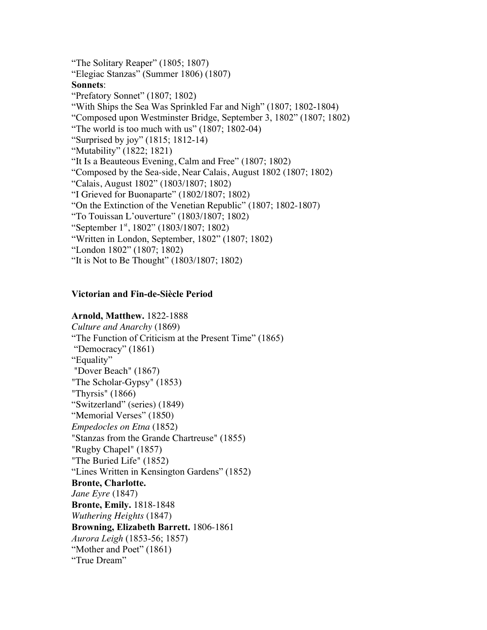"The Solitary Reaper" (1805; 1807) "Elegiac Stanzas" (Summer 1806) (1807) **Sonnets**: "Prefatory Sonnet" (1807; 1802) "With Ships the Sea Was Sprinkled Far and Nigh" (1807; 1802-1804) "Composed upon Westminster Bridge, September 3, 1802" (1807; 1802) "The world is too much with us" (1807; 1802-04) "Surprised by joy" (1815; 1812-14) "Mutability" (1822; 1821) "It Is a Beauteous Evening, Calm and Free" (1807; 1802) "Composed by the Sea-side, Near Calais, August 1802 (1807; 1802) "Calais, August 1802" (1803/1807; 1802) "I Grieved for Buonaparte" (1802/1807; 1802) "On the Extinction of the Venetian Republic" (1807; 1802-1807) "To Touissan L'ouverture" (1803/1807; 1802) "September 1<sup>st</sup>, 1802" (1803/1807; 1802) "Written in London, September, 1802" (1807; 1802) "London 1802" (1807; 1802) "It is Not to Be Thought" (1803/1807; 1802)

## **Victorian and Fin-de-Siècle Period**

**Arnold, Matthew.** 1822-1888 *Culture and Anarchy* (1869) "The Function of Criticism at the Present Time" (1865) "Democracy" (1861) "Equality" "Dover Beach" (1867) "The Scholar-Gypsy" (1853) "Thyrsis" (1866) "Switzerland" (series) (1849) "Memorial Verses" (1850) *Empedocles on Etna* (1852) "Stanzas from the Grande Chartreuse" (1855) "Rugby Chapel" (1857) "The Buried Life" (1852) "Lines Written in Kensington Gardens" (1852) **Bronte, Charlotte.**  *Jane Eyre* (1847) **Bronte, Emily.** 1818-1848 *Wuthering Heights* (1847) **Browning, Elizabeth Barrett.** 1806-1861 *Aurora Leigh* (1853-56; 1857) "Mother and Poet" (1861) "True Dream"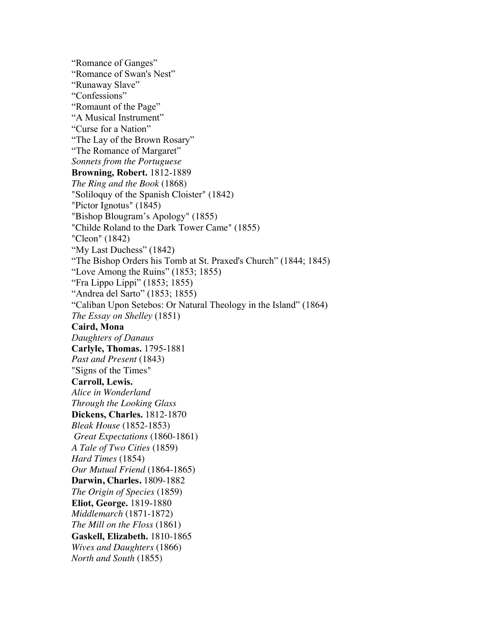"Romance of Ganges" "Romance of Swan's Nest" "Runaway Slave" "Confessions" "Romaunt of the Page" "A Musical Instrument" "Curse for a Nation" "The Lay of the Brown Rosary" "The Romance of Margaret" *Sonnets from the Portuguese* **Browning, Robert.** 1812-1889 *The Ring and the Book* (1868) "Soliloquy of the Spanish Cloister" (1842) "Pictor Ignotus" (1845) "Bishop Blougram's Apology" (1855) "Childe Roland to the Dark Tower Came" (1855) "Cleon" (1842) "My Last Duchess" (1842) "The Bishop Orders his Tomb at St. Praxed's Church" (1844; 1845) "Love Among the Ruins" (1853; 1855) "Fra Lippo Lippi" (1853; 1855) "Andrea del Sarto" (1853; 1855) "Caliban Upon Setebos: Or Natural Theology in the Island" (1864) *The Essay on Shelley* (1851) **Caird, Mona** *Daughters of Danaus* **Carlyle, Thomas.** 1795-1881 *Past and Present* (1843) "Signs of the Times" **Carroll, Lewis.** *Alice in Wonderland Through the Looking Glass* **Dickens, Charles.** 1812-1870 *Bleak House* (1852-1853) *Great Expectations* (1860-1861) *A Tale of Two Cities* (1859) *Hard Times* (1854) *Our Mutual Friend* (1864-1865) **Darwin, Charles.** 1809-1882 *The Origin of Species* (1859) **Eliot, George.** 1819-1880 *Middlemarch* (1871-1872) *The Mill on the Floss* (1861) **Gaskell, Elizabeth.** 1810-1865 *Wives and Daughters* (1866) *North and South* (1855)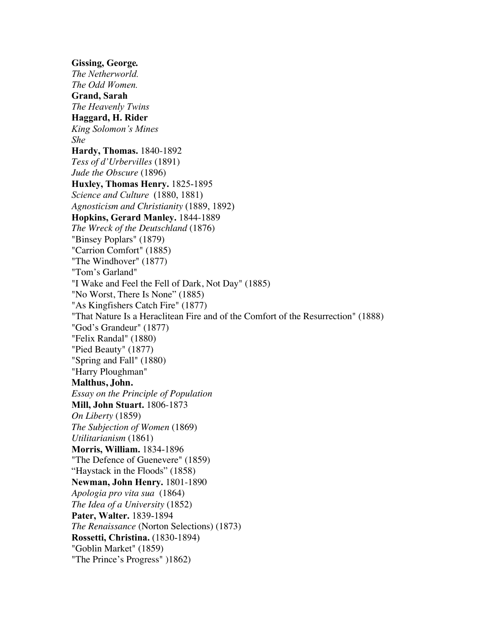**Gissing, George***. The Netherworld. The Odd Women.* **Grand, Sarah** *The Heavenly Twins*  **Haggard, H. Rider** *King Solomon's Mines She* **Hardy, Thomas.** 1840-1892 *Tess of d'Urbervilles* (1891) *Jude the Obscure* (1896) **Huxley, Thomas Henry.** 1825-1895 *Science and Culture*(1880, 1881) *Agnosticism and Christianity* (1889, 1892) **Hopkins, Gerard Manley.** 1844-1889 *The Wreck of the Deutschland* (1876) "Binsey Poplars" (1879) "Carrion Comfort" (1885) "The Windhover" (1877) "Tom's Garland" "I Wake and Feel the Fell of Dark, Not Day" (1885) "No Worst, There Is None" (1885) "As Kingfishers Catch Fire" (1877) "That Nature Is a Heraclitean Fire and of the Comfort of the Resurrection" (1888) "God's Grandeur" (1877) "Felix Randal" (1880) "Pied Beauty" (1877) "Spring and Fall" (1880) "Harry Ploughman" **Malthus, John.** *Essay on the Principle of Population* **Mill, John Stuart.** 1806-1873 *On Liberty* (1859) *The Subjection of Women* (1869) *Utilitarianism* (1861) **Morris, William.** 1834-1896 "The Defence of Guenevere" (1859) "Haystack in the Floods" (1858) **Newman, John Henry.** 1801-1890 *Apologia pro vita sua* (1864) *The Idea of a University* (1852) **Pater, Walter.** 1839-1894 *The Renaissance* (Norton Selections) (1873) **Rossetti, Christina.** (1830-1894) "Goblin Market" (1859) "The Prince's Progress" )1862)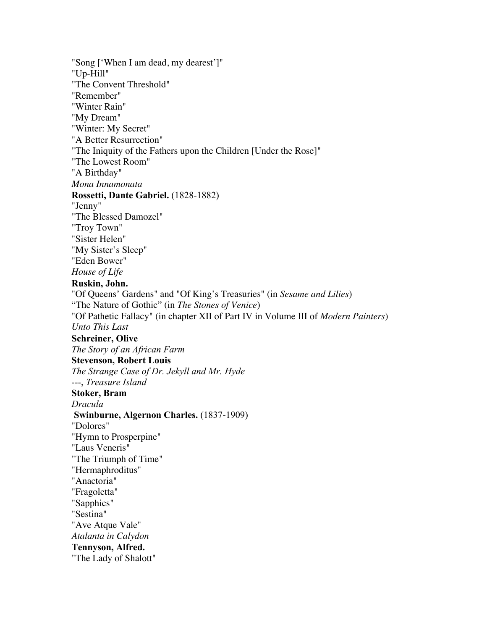"Song ['When I am dead, my dearest']" "Up-Hill" "The Convent Threshold" "Remember" "Winter Rain" "My Dream" "Winter: My Secret" "A Better Resurrection" "The Iniquity of the Fathers upon the Children [Under the Rose]" "The Lowest Room" "A Birthday" *Mona Innamonata* **Rossetti, Dante Gabriel.** (1828-1882) "Jenny" "The Blessed Damozel" "Troy Town" "Sister Helen" "My Sister's Sleep" "Eden Bower" *House of Life* **Ruskin, John.** "Of Queens' Gardens" and "Of King's Treasuries" (in *Sesame and Lilies*) "The Nature of Gothic" (in *The Stones of Venice*) "Of Pathetic Fallacy" (in chapter XII of Part IV in Volume III of *Modern Painters*) *Unto This Last* **Schreiner, Olive**  *The Story of an African Farm*  **Stevenson, Robert Louis**  *The Strange Case of Dr. Jekyll and Mr. Hyde* ---, *Treasure Island* **Stoker, Bram** *Dracula* **Swinburne, Algernon Charles.** (1837-1909) "Dolores" "Hymn to Prosperpine" "Laus Veneris" "The Triumph of Time" "Hermaphroditus" "Anactoria" "Fragoletta" "Sapphics" "Sestina" "Ave Atque Vale" *Atalanta in Calydon*  **Tennyson, Alfred.** "The Lady of Shalott"